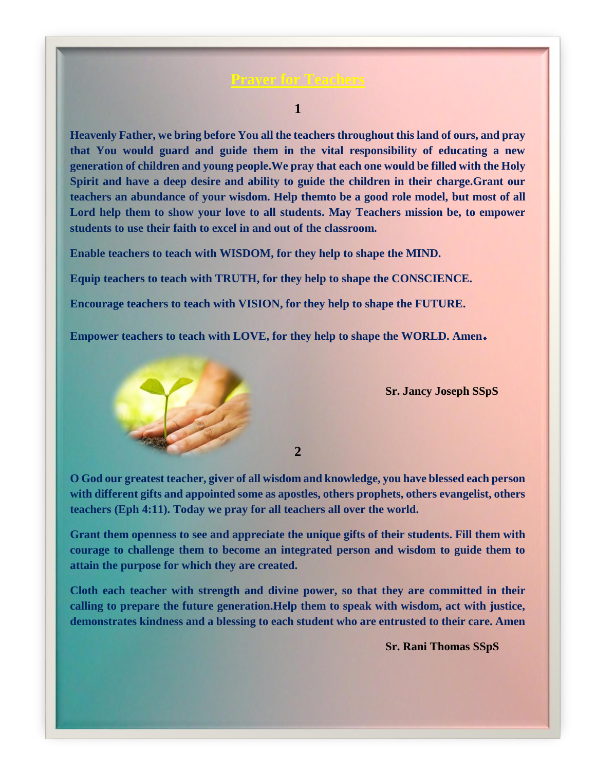## **Prayer for Teachers**

**1**

**Heavenly Father, we bring before You all the teachers throughout this land of ours, and pray that You would guard and guide them in the vital responsibility of educating a new generation of children and young people.We pray that each one would be filled with the Holy Spirit and have a deep desire and ability to guide the children in their charge.Grant our teachers an abundance of your wisdom. Help themto be a good role model, but most of all Lord help them to show your love to all students. May Teachers mission be, to empower students to use their faith to excel in and out of the classroom.**

**Enable teachers to teach with WISDOM, for they help to shape the MIND.** 

**Equip teachers to teach with TRUTH, for they help to shape the CONSCIENCE.** 

**Encourage teachers to teach with VISION, for they help to shape the FUTURE.** 

**Empower teachers to teach with LOVE, for they help to shape the WORLD. Amen***.* 



**Sr. Jancy Joseph SSpS**

**2**

**O God our greatest teacher, giver of all wisdom and knowledge, you have blessed each person with different gifts and appointed some as apostles, others prophets, others evangelist, others teachers (Eph 4:11). Today we pray for all teachers all over the world.**

**Grant them openness to see and appreciate the unique gifts of their students. Fill them with courage to challenge them to become an integrated person and wisdom to guide them to attain the purpose for which they are created.**

**Cloth each teacher with strength and divine power, so that they are committed in their calling to prepare the future generation.Help them to speak with wisdom, act with justice, demonstrates kindness and a blessing to each student who are entrusted to their care. Amen**

**Sr. Rani Thomas SSpS**